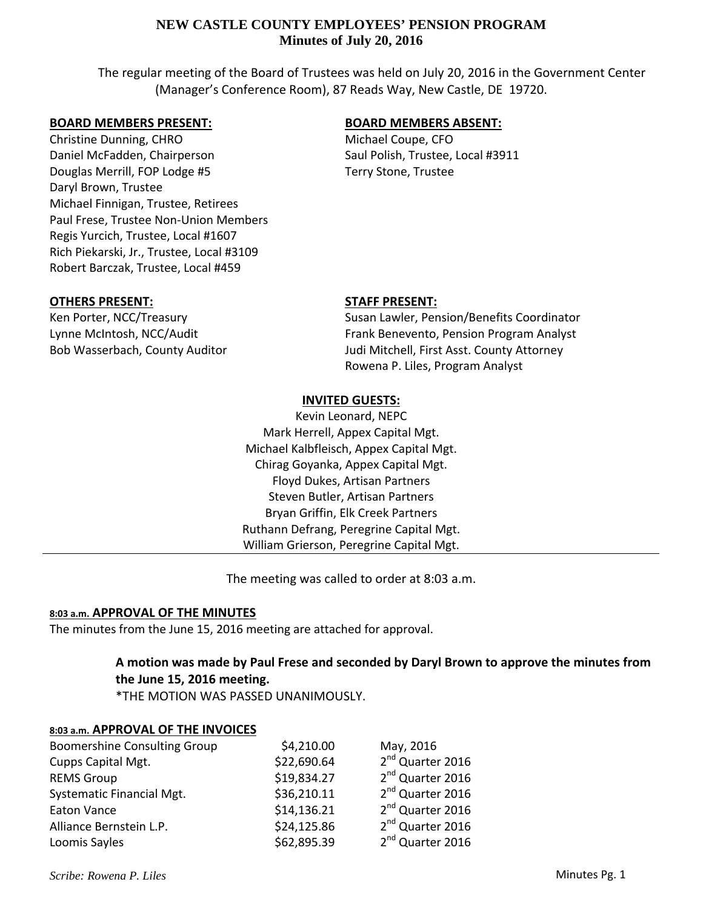The regular meeting of the Board of Trustees was held on July 20, 2016 in the Government Center (Manager's Conference Room), 87 Reads Way, New Castle, DE 19720.

### **BOARD MEMBERS PRESENT:**

Christine Dunning, CHRO Daniel McFadden, Chairperson Douglas Merrill, FOP Lodge #5 Daryl Brown, Trustee Michael Finnigan, Trustee, Retirees Paul Frese, Trustee Non‐Union Members Regis Yurcich, Trustee, Local #1607 Rich Piekarski, Jr., Trustee, Local #3109 Robert Barczak, Trustee, Local #459

## **BOARD MEMBERS ABSENT:**

Michael Coupe, CFO Saul Polish, Trustee, Local #3911 Terry Stone, Trustee

### **OTHERS PRESENT:**

Ken Porter, NCC/Treasury Lynne McIntosh, NCC/Audit Bob Wasserbach, County Auditor

### **STAFF PRESENT:**

Susan Lawler, Pension/Benefits Coordinator Frank Benevento, Pension Program Analyst Judi Mitchell, First Asst. County Attorney Rowena P. Liles, Program Analyst

## **INVITED GUESTS:**

Kevin Leonard, NEPC Mark Herrell, Appex Capital Mgt. Michael Kalbfleisch, Appex Capital Mgt. Chirag Goyanka, Appex Capital Mgt. Floyd Dukes, Artisan Partners Steven Butler, Artisan Partners Bryan Griffin, Elk Creek Partners Ruthann Defrang, Peregrine Capital Mgt. William Grierson, Peregrine Capital Mgt.

The meeting was called to order at 8:03 a.m.

### **8:03 a.m. APPROVAL OF THE MINUTES**

The minutes from the June 15, 2016 meeting are attached for approval.

# **A motion was made by Paul Frese and seconded by Daryl Brown to approve the minutes from the June 15, 2016 meeting.**

\*THE MOTION WAS PASSED UNANIMOUSLY.

### **8:03 a.m. APPROVAL OF THE INVOICES**

| <b>Boomershine Consulting Group</b> | \$4,210.00  | May, 2016                    |
|-------------------------------------|-------------|------------------------------|
| Cupps Capital Mgt.                  | \$22,690.64 | 2 <sup>nd</sup> Quarter 2016 |
| <b>REMS Group</b>                   | \$19,834.27 | 2 <sup>nd</sup> Quarter 2016 |
| Systematic Financial Mgt.           | \$36,210.11 | 2 <sup>nd</sup> Quarter 2016 |
| <b>Eaton Vance</b>                  | \$14,136.21 | 2 <sup>nd</sup> Quarter 2016 |
| Alliance Bernstein L.P.             | \$24,125.86 | 2 <sup>nd</sup> Quarter 2016 |
| Loomis Sayles                       | \$62,895.39 | 2 <sup>nd</sup> Quarter 2016 |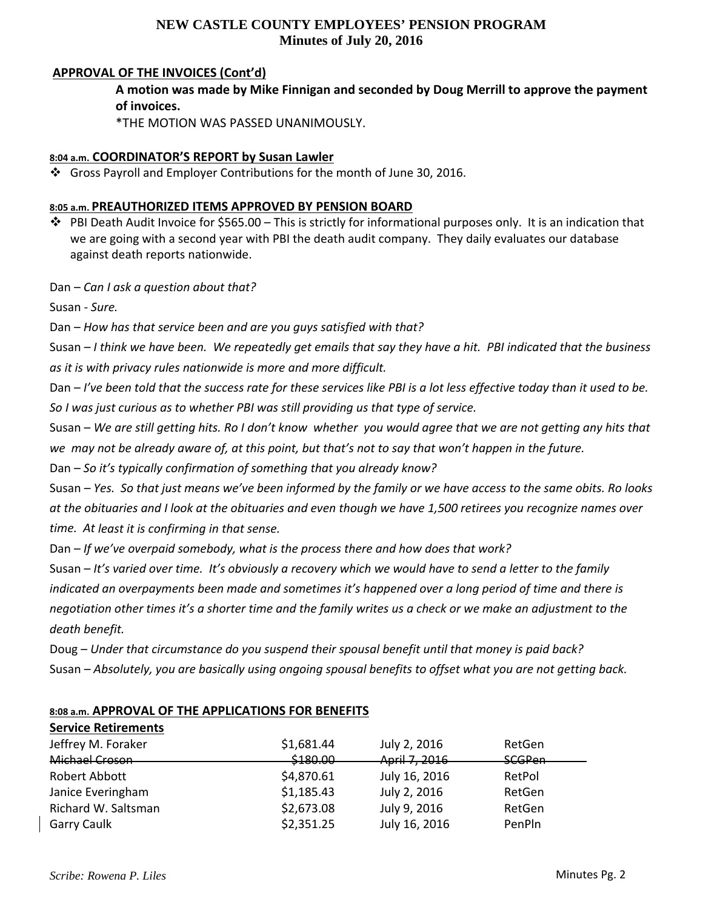### **APPROVAL OF THE INVOICES (Cont'd)**

**A motion was made by Mike Finnigan and seconded by Doug Merrill to approve the payment of invoices.**

\*THE MOTION WAS PASSED UNANIMOUSLY.

### **8:04 a.m. COORDINATOR'S REPORT by Susan Lawler**

Gross Payroll and Employer Contributions for the month of June 30, 2016.

### **8:05 a.m. PREAUTHORIZED ITEMS APPROVED BY PENSION BOARD**

 $\dots$  PBI Death Audit Invoice for \$565.00 – This is strictly for informational purposes only. It is an indication that we are going with a second year with PBI the death audit company. They daily evaluates our database against death reports nationwide.

Dan – *Can I ask a question about that?*

Susan ‐ *Sure.*

Dan – *How has that service been and are you guys satisfied with that?*

Susan  $-1$  think we have been. We repeatedly get emails that say they have a hit. PBI indicated that the business *as it is with privacy rules nationwide is more and more difficult.*

Dan – I've been told that the success rate for these services like PBI is a lot less effective today than it used to be. *So I was just curious as to whether PBI was still providing us that type of service.*

Susan - We are still getting hits. Ro I don't know whether you would agree that we are not getting any hits that we may not be already aware of, at this point, but that's not to say that won't happen in the future.

Dan – *So it's typically confirmation of something that you already know?*

Susan – Yes. So that just means we've been informed by the family or we have access to the same obits. Ro looks at the obituaries and I look at the obituaries and even though we have 1,500 retirees you recognize names over *time. At least it is confirming in that sense.*

Dan – *If we've overpaid somebody, what is the process there and how does that work?*

Susan – It's varied over time. It's obviously a recovery which we would have to send a letter to the family indicated an overpayments been made and sometimes it's happened over a long period of time and there is negotiation other times it's a shorter time and the family writes us a check or we make an adjustment to the *death benefit.*

Doug – *Under that circumstance do you suspend their spousal benefit until that money is paid back?* Susan – Absolutely, you are basically using ongoing spousal benefits to offset what you are not getting back.

### **8:08 a.m. APPROVAL OF THE APPLICATIONS FOR BENEFITS**

| <b>Service Retirements</b> |            |               |               |
|----------------------------|------------|---------------|---------------|
| Jeffrey M. Foraker         | \$1,681.44 | July 2, 2016  | RetGen        |
| Michael Croson             | \$180.00   | April 7, 2016 | <b>SCGPen</b> |
| Robert Abbott              | \$4,870.61 | July 16, 2016 | RetPol        |
| Janice Everingham          | \$1,185.43 | July 2, 2016  | RetGen        |
| Richard W. Saltsman        | \$2,673.08 | July 9, 2016  | RetGen        |
| Garry Caulk                | \$2,351.25 | July 16, 2016 | PenPln        |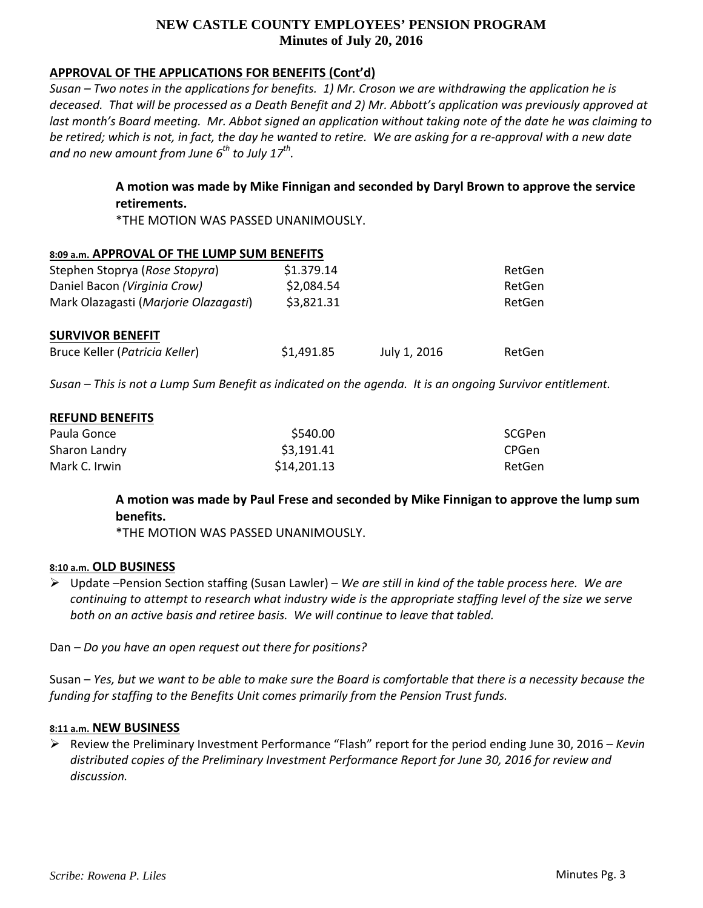## **APPROVAL OF THE APPLICATIONS FOR BENEFITS (Cont'd)**

Susan – Two notes in the applications for benefits. 1) Mr. Croson we are withdrawing the application he is deceased. That will be processed as a Death Benefit and 2) Mr. Abbott's application was previously approved at last month's Board meeting. Mr. Abbot signed an application without taking note of the date he was claiming to be retired; which is not, in fact, the day he wanted to retire. We are asking for a re-approval with a new date *and no new amount from June 6th to July 17th.* 

> **A motion was made by Mike Finnigan and seconded by Daryl Brown to approve the service retirements.**

\*THE MOTION WAS PASSED UNANIMOUSLY.

#### **8:09 a.m. APPROVAL OF THE LUMP SUM BENEFITS**

| Stephen Stoprya (Rose Stopyra)        | \$1.379.14 |              | RetGen |
|---------------------------------------|------------|--------------|--------|
| Daniel Bacon (Virginia Crow)          | \$2,084.54 |              | RetGen |
| Mark Olazagasti (Marjorie Olazagasti) | \$3,821.31 |              | RetGen |
| <b>SURVIVOR BENEFIT</b>               |            |              |        |
| Bruce Keller (Patricia Keller)        | \$1,491.85 | July 1, 2016 | RetGen |

Susan - This is not a Lump Sum Benefit as indicated on the agenda. It is an ongoing Survivor entitlement.

| <b>REFUND BENEFITS</b> |             |               |
|------------------------|-------------|---------------|
| Paula Gonce            | \$540.00    | <b>SCGPen</b> |
| Sharon Landry          | \$3,191.41  | <b>CPGen</b>  |
| Mark C. Irwin          | \$14,201.13 | RetGen        |

# **A motion was made by Paul Frese and seconded by Mike Finnigan to approve the lump sum benefits.**

\*THE MOTION WAS PASSED UNANIMOUSLY.

### **8:10 a.m. OLD BUSINESS**

 Update –Pension Section staffing (Susan Lawler) – *We are still in kind of the table process here. We are* continuing to attempt to research what industry wide is the appropriate staffing level of the size we serve *both on an active basis and retiree basis. We will continue to leave that tabled.*

Dan *– Do you have an open request out there for positions?*

Susan – Yes, but we want to be able to make sure the Board is comfortable that there is a necessity because the *funding for staffing to the Benefits Unit comes primarily from the Pension Trust funds.*

### **8:11 a.m. NEW BUSINESS**

 Review the Preliminary Investment Performance "Flash" report for the period ending June 30, 2016 – *Kevin distributed copies of the Preliminary Investment Performance Report for June 30, 2016 for review and discussion.*